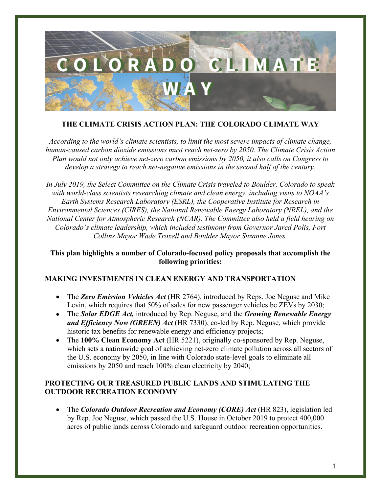

## **THE CLIMATE CRISIS ACTION PLAN: THE COLORADO CLIMATE WAY**

*According to the world's climate scientists, to limit the most severe impacts of climate change, human-caused carbon dioxide emissions must reach net-zero by 2050. The Climate Crisis Action Plan would not only achieve net-zero carbon emissions by 2050, it also calls on Congress to develop a strategy to reach net-negative emissions in the second half of the century.*

*In July 2019, the Select Committee on the Climate Crisis traveled to Boulder, Colorado to speak with world-class scientists researching climate and clean energy, including visits to NOAA's Earth Systems Research Laboratory (ESRL), the Cooperative Institute for Research in Environmental Sciences (CIRES), the National Renewable Energy Laboratory (NREL), and the National Center for Atmospheric Research (NCAR). The Committee also held a field hearing on Colorado's climate leadership, which included testimony from Governor Jared Polis, Fort Collins Mayor Wade Troxell and Boulder Mayor Suzanne Jones.*

### **This plan highlights a number of Colorado-focused policy proposals that accomplish the following priorities:**

### **MAKING INVESTMENTS IN CLEAN ENERGY AND TRANSPORTATION**

- The *Zero Emission Vehicles Act* (HR 2764), introduced by Reps. Joe Neguse and Mike Levin, which requires that 50% of sales for new passenger vehicles be ZEVs by 2030;
- The *Solar EDGE Act,* introduced by Rep. Neguse, and the *Growing Renewable Energy and Efficiency Now (GREEN) Act* (HR 7330), co-led by Rep. Neguse, which provide historic tax benefits for renewable energy and efficiency projects;
- The **100% Clean Economy Act** (HR 5221), originally co-sponsored by Rep. Neguse, which sets a nationwide goal of achieving net-zero climate pollution across all sectors of the U.S. economy by 2050, in line with Colorado state-level goals to eliminate all emissions by 2050 and reach 100% clean electricity by 2040;

### **PROTECTING OUR TREASURED PUBLIC LANDS AND STIMULATING THE OUTDOOR RECREATION ECONOMY**

• The *Colorado Outdoor Recreation and Economy (CORE) Act* (HR 823), legislation led by Rep. Joe Neguse, which passed the U.S. House in October 2019 to protect 400,000 acres of public lands across Colorado and safeguard outdoor recreation opportunities.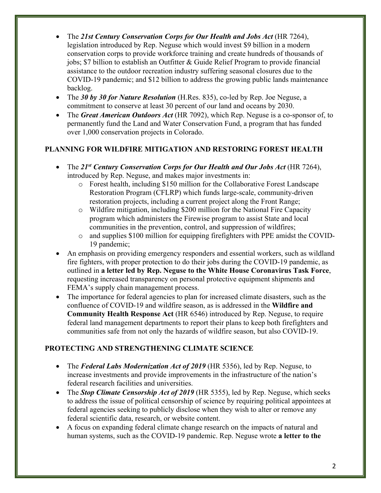- The 21st Century Conservation Corps for Our Health and Jobs Act (HR 7264), legislation introduced by Rep. Neguse which would invest \$9 billion in a modern conservation corps to provide workforce training and create hundreds of thousands of jobs; \$7 billion to establish an Outfitter & Guide Relief Program to provide financial assistance to the outdoor recreation industry suffering seasonal closures due to the COVID-19 pandemic; and \$12 billion to address the growing public lands maintenance backlog.
- The 30 by 30 for Nature Resolution (H.Res. 835), co-led by Rep. Joe Neguse, a commitment to conserve at least 30 percent of our land and oceans by 2030.
- The *Great American Outdoors Act* (HR 7092), which Rep. Neguse is a co-sponsor of, to permanently fund the Land and Water Conservation Fund, a program that has funded over 1,000 conservation projects in Colorado.

# **PLANNING FOR WILDFIRE MITIGATION AND RESTORING FOREST HEALTH**

- The 21<sup>st</sup> Century Conservation Corps for Our Health and Our Jobs Act (HR 7264), introduced by Rep. Neguse, and makes major investments in:
	- o Forest health, including \$150 million for the Collaborative Forest Landscape Restoration Program (CFLRP) which funds large-scale, community-driven restoration projects, including a current project along the Front Range;
	- o Wildfire mitigation, including \$200 million for the National Fire Capacity program which administers the Firewise program to assist State and local communities in the prevention, control, and suppression of wildfires;
	- o and supplies \$100 million for equipping firefighters with PPE amidst the COVID-19 pandemic;
- An emphasis on providing emergency responders and essential workers, such as wildland fire fighters, with proper protection to do their jobs during the COVID-19 pandemic, as outlined in **a letter led by Rep. Neguse to the White House Coronavirus Task Force**, requesting increased transparency on personal protective equipment shipments and FEMA's supply chain management process.
- The importance for federal agencies to plan for increased climate disasters, such as the confluence of COVID-19 and wildfire season, as is addressed in the **Wildfire and Community Health Response Act** (HR 6546) introduced by Rep. Neguse, to require federal land management departments to report their plans to keep both firefighters and communities safe from not only the hazards of wildfire season, but also COVID-19.

# **PROTECTING AND STRENGTHENING CLIMATE SCIENCE**

- The *Federal Labs Modernization Act of 2019* (HR 5356), led by Rep. Neguse, to increase investments and provide improvements in the infrastructure of the nation's federal research facilities and universities.
- The *Stop Climate Censorship Act of 2019* (HR 5355), led by Rep. Neguse, which seeks to address the issue of political censorship of science by requiring political appointees at federal agencies seeking to publicly disclose when they wish to alter or remove any federal scientific data, research, or website content.
- A focus on expanding federal climate change research on the impacts of natural and human systems, such as the COVID-19 pandemic. Rep. Neguse wrote **a letter to the**